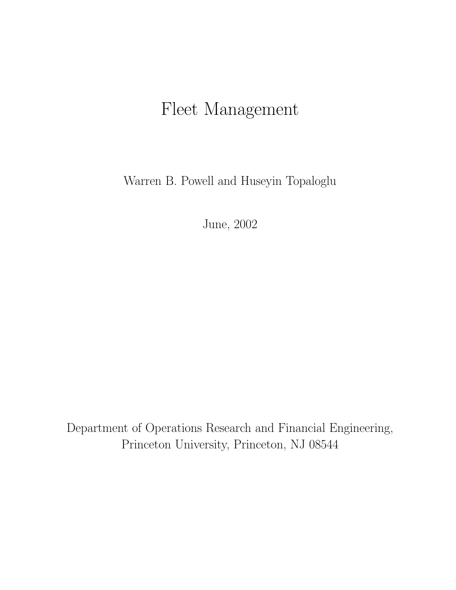# <span id="page-0-0"></span>Fleet Management

Warren B. Powell and Huseyin Topaloglu

June, 2002

Department of Operations Research and Financial Engineering, Princeton University, Princeton, NJ 08544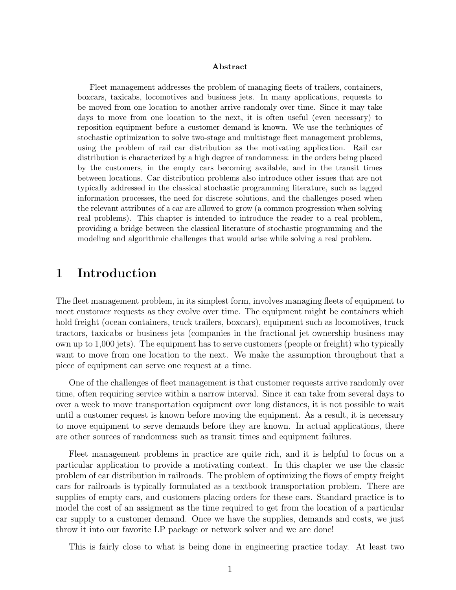#### Abstract

Fleet management addresses the problem of managing fleets of trailers, containers, boxcars, taxicabs, locomotives and business jets. In many applications, requests to be moved from one location to another arrive randomly over time. Since it may take days to move from one location to the next, it is often useful (even necessary) to reposition equipment before a customer demand is known. We use the techniques of stochastic optimization to solve two-stage and multistage fleet management problems, using the problem of rail car distribution as the motivating application. Rail car distribution is characterized by a high degree of randomness: in the orders being placed by the customers, in the empty cars becoming available, and in the transit times between locations. Car distribution problems also introduce other issues that are not typically addressed in the classical stochastic programming literature, such as lagged information processes, the need for discrete solutions, and the challenges posed when the relevant attributes of a car are allowed to grow (a common progression when solving real problems). This chapter is intended to introduce the reader to a real problem, providing a bridge between the classical literature of stochastic programming and the modeling and algorithmic challenges that would arise while solving a real problem.

# 1 Introduction

The fleet management problem, in its simplest form, involves managing fleets of equipment to meet customer requests as they evolve over time. The equipment might be containers which hold freight (ocean containers, truck trailers, boxcars), equipment such as locomotives, truck tractors, taxicabs or business jets (companies in the fractional jet ownership business may own up to 1,000 jets). The equipment has to serve customers (people or freight) who typically want to move from one location to the next. We make the assumption throughout that a piece of equipment can serve one request at a time.

One of the challenges of fleet management is that customer requests arrive randomly over time, often requiring service within a narrow interval. Since it can take from several days to over a week to move transportation equipment over long distances, it is not possible to wait until a customer request is known before moving the equipment. As a result, it is necessary to move equipment to serve demands before they are known. In actual applications, there are other sources of randomness such as transit times and equipment failures.

Fleet management problems in practice are quite rich, and it is helpful to focus on a particular application to provide a motivating context. In this chapter we use the classic problem of car distribution in railroads. The problem of optimizing the flows of empty freight cars for railroads is typically formulated as a textbook transportation problem. There are supplies of empty cars, and customers placing orders for these cars. Standard practice is to model the cost of an assigment as the time required to get from the location of a particular car supply to a customer demand. Once we have the supplies, demands and costs, we just throw it into our favorite LP package or network solver and we are done!

This is fairly close to what is being done in engineering practice today. At least two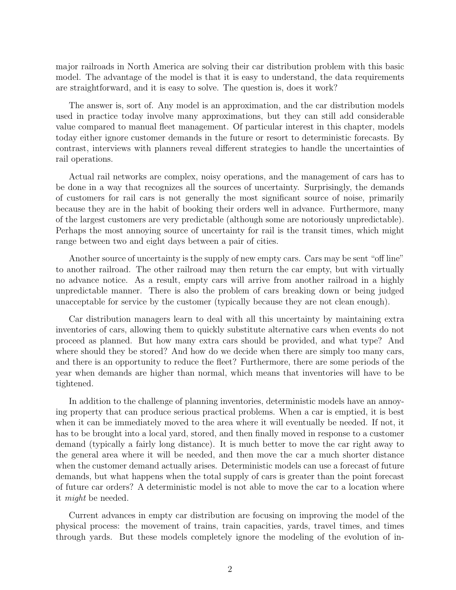major railroads in North America are solving their car distribution problem with this basic model. The advantage of the model is that it is easy to understand, the data requirements are straightforward, and it is easy to solve. The question is, does it work?

The answer is, sort of. Any model is an approximation, and the car distribution models used in practice today involve many approximations, but they can still add considerable value compared to manual fleet management. Of particular interest in this chapter, models today either ignore customer demands in the future or resort to deterministic forecasts. By contrast, interviews with planners reveal different strategies to handle the uncertainties of rail operations.

Actual rail networks are complex, noisy operations, and the management of cars has to be done in a way that recognizes all the sources of uncertainty. Surprisingly, the demands of customers for rail cars is not generally the most significant source of noise, primarily because they are in the habit of booking their orders well in advance. Furthermore, many of the largest customers are very predictable (although some are notoriously unpredictable). Perhaps the most annoying source of uncertainty for rail is the transit times, which might range between two and eight days between a pair of cities.

Another source of uncertainty is the supply of new empty cars. Cars may be sent "off line" to another railroad. The other railroad may then return the car empty, but with virtually no advance notice. As a result, empty cars will arrive from another railroad in a highly unpredictable manner. There is also the problem of cars breaking down or being judged unacceptable for service by the customer (typically because they are not clean enough).

Car distribution managers learn to deal with all this uncertainty by maintaining extra inventories of cars, allowing them to quickly substitute alternative cars when events do not proceed as planned. But how many extra cars should be provided, and what type? And where should they be stored? And how do we decide when there are simply too many cars, and there is an opportunity to reduce the fleet? Furthermore, there are some periods of the year when demands are higher than normal, which means that inventories will have to be tightened.

In addition to the challenge of planning inventories, deterministic models have an annoying property that can produce serious practical problems. When a car is emptied, it is best when it can be immediately moved to the area where it will eventually be needed. If not, it has to be brought into a local yard, stored, and then finally moved in response to a customer demand (typically a fairly long distance). It is much better to move the car right away to the general area where it will be needed, and then move the car a much shorter distance when the customer demand actually arises. Deterministic models can use a forecast of future demands, but what happens when the total supply of cars is greater than the point forecast of future car orders? A deterministic model is not able to move the car to a location where it might be needed.

Current advances in empty car distribution are focusing on improving the model of the physical process: the movement of trains, train capacities, yards, travel times, and times through yards. But these models completely ignore the modeling of the evolution of in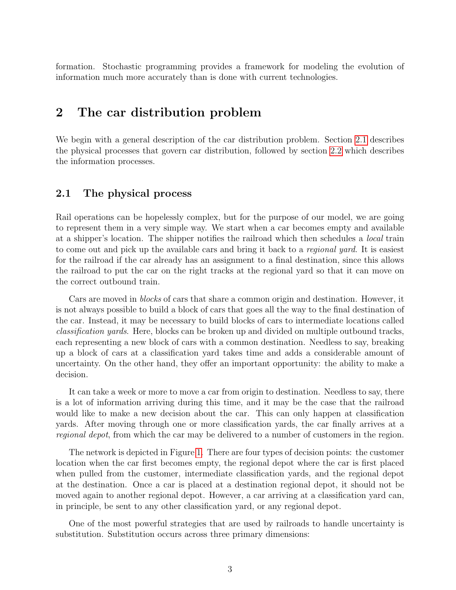formation. Stochastic programming provides a framework for modeling the evolution of information much more accurately than is done with current technologies.

# 2 The car distribution problem

We begin with a general description of the car distribution problem. Section [2.1](#page-3-0) describes the physical processes that govern car distribution, followed by section [2.2](#page-4-0) which describes the information processes.

### <span id="page-3-0"></span>2.1 The physical process

Rail operations can be hopelessly complex, but for the purpose of our model, we are going to represent them in a very simple way. We start when a car becomes empty and available at a shipper's location. The shipper notifies the railroad which then schedules a local train to come out and pick up the available cars and bring it back to a *regional yard*. It is easiest for the railroad if the car already has an assignment to a final destination, since this allows the railroad to put the car on the right tracks at the regional yard so that it can move on the correct outbound train.

Cars are moved in blocks of cars that share a common origin and destination. However, it is not always possible to build a block of cars that goes all the way to the final destination of the car. Instead, it may be necessary to build blocks of cars to intermediate locations called classification yards. Here, blocks can be broken up and divided on multiple outbound tracks, each representing a new block of cars with a common destination. Needless to say, breaking up a block of cars at a classification yard takes time and adds a considerable amount of uncertainty. On the other hand, they offer an important opportunity: the ability to make a decision.

It can take a week or more to move a car from origin to destination. Needless to say, there is a lot of information arriving during this time, and it may be the case that the railroad would like to make a new decision about the car. This can only happen at classification yards. After moving through one or more classification yards, the car finally arrives at a regional depot, from which the car may be delivered to a number of customers in the region.

The network is depicted in Figure [1.](#page-4-1) There are four types of decision points: the customer location when the car first becomes empty, the regional depot where the car is first placed when pulled from the customer, intermediate classification yards, and the regional depot at the destination. Once a car is placed at a destination regional depot, it should not be moved again to another regional depot. However, a car arriving at a classification yard can, in principle, be sent to any other classification yard, or any regional depot.

One of the most powerful strategies that are used by railroads to handle uncertainty is substitution. Substitution occurs across three primary dimensions: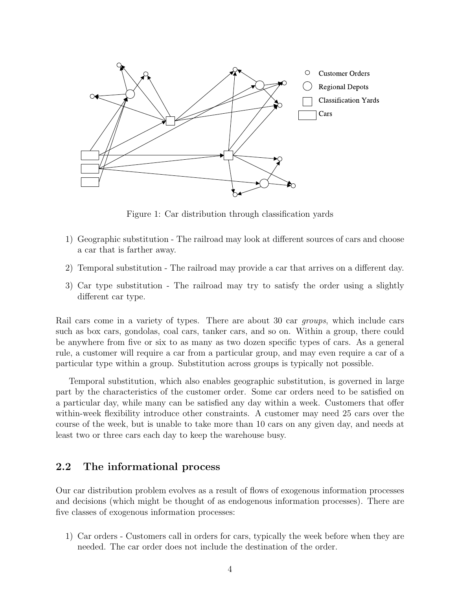

<span id="page-4-1"></span>Figure 1: Car distribution through classification yards

- 1) Geographic substitution The railroad may look at different sources of cars and choose a car that is farther away.
- 2) Temporal substitution The railroad may provide a car that arrives on a different day.
- 3) Car type substitution The railroad may try to satisfy the order using a slightly different car type.

Rail cars come in a variety of types. There are about 30 car *groups*, which include cars such as box cars, gondolas, coal cars, tanker cars, and so on. Within a group, there could be anywhere from five or six to as many as two dozen specific types of cars. As a general rule, a customer will require a car from a particular group, and may even require a car of a particular type within a group. Substitution across groups is typically not possible.

Temporal substitution, which also enables geographic substitution, is governed in large part by the characteristics of the customer order. Some car orders need to be satisfied on a particular day, while many can be satisfied any day within a week. Customers that offer within-week flexibility introduce other constraints. A customer may need 25 cars over the course of the week, but is unable to take more than 10 cars on any given day, and needs at least two or three cars each day to keep the warehouse busy.

### <span id="page-4-0"></span>2.2 The informational process

Our car distribution problem evolves as a result of flows of exogenous information processes and decisions (which might be thought of as endogenous information processes). There are five classes of exogenous information processes:

1) Car orders - Customers call in orders for cars, typically the week before when they are needed. The car order does not include the destination of the order.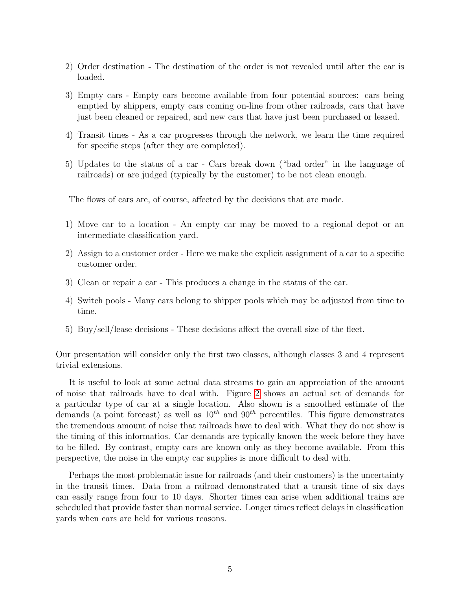- 2) Order destination The destination of the order is not revealed until after the car is loaded.
- 3) Empty cars Empty cars become available from four potential sources: cars being emptied by shippers, empty cars coming on-line from other railroads, cars that have just been cleaned or repaired, and new cars that have just been purchased or leased.
- 4) Transit times As a car progresses through the network, we learn the time required for specific steps (after they are completed).
- 5) Updates to the status of a car Cars break down ("bad order" in the language of railroads) or are judged (typically by the customer) to be not clean enough.

The flows of cars are, of course, affected by the decisions that are made.

- 1) Move car to a location An empty car may be moved to a regional depot or an intermediate classification yard.
- 2) Assign to a customer order Here we make the explicit assignment of a car to a specific customer order.
- 3) Clean or repair a car This produces a change in the status of the car.
- 4) Switch pools Many cars belong to shipper pools which may be adjusted from time to time.
- 5) Buy/sell/lease decisions These decisions affect the overall size of the fleet.

Our presentation will consider only the first two classes, although classes 3 and 4 represent trivial extensions.

It is useful to look at some actual data streams to gain an appreciation of the amount of noise that railroads have to deal with. Figure [2](#page-6-0) shows an actual set of demands for a particular type of car at a single location. Also shown is a smoothed estimate of the demands (a point forecast) as well as  $10^{th}$  and  $90^{th}$  percentiles. This figure demonstrates the tremendous amount of noise that railroads have to deal with. What they do not show is the timing of this informatios. Car demands are typically known the week before they have to be filled. By contrast, empty cars are known only as they become available. From this perspective, the noise in the empty car supplies is more difficult to deal with.

Perhaps the most problematic issue for railroads (and their customers) is the uncertainty in the transit times. Data from a railroad demonstrated that a transit time of six days can easily range from four to 10 days. Shorter times can arise when additional trains are scheduled that provide faster than normal service. Longer times reflect delays in classification yards when cars are held for various reasons.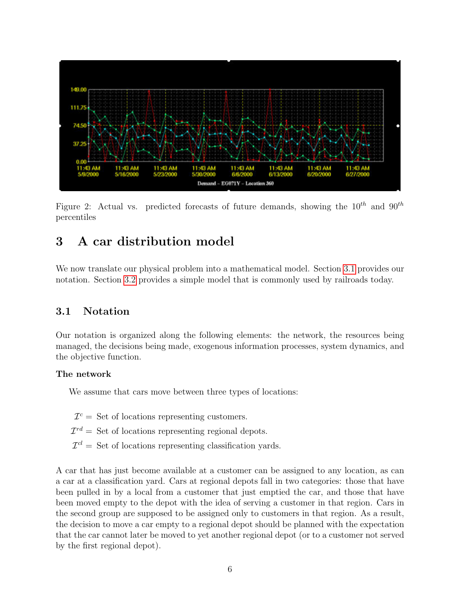

<span id="page-6-0"></span>Figure 2: Actual vs. predicted forecasts of future demands, showing the  $10^{th}$  and  $90^{th}$ percentiles

# 3 A car distribution model

We now translate our physical problem into a mathematical model. Section [3.1](#page-6-1) provides our notation. Section [3.2](#page-11-0) provides a simple model that is commonly used by railroads today.

### <span id="page-6-1"></span>3.1 Notation

Our notation is organized along the following elements: the network, the resources being managed, the decisions being made, exogenous information processes, system dynamics, and the objective function.

#### The network

We assume that cars move between three types of locations:

- $\mathcal{I}^c =$  Set of locations representing customers.
- $\mathcal{I}^{rd} =$  Set of locations representing regional depots.
- $\mathcal{I}^{cl} =$  Set of locations representing classification yards.

A car that has just become available at a customer can be assigned to any location, as can a car at a classification yard. Cars at regional depots fall in two categories: those that have been pulled in by a local from a customer that just emptied the car, and those that have been moved empty to the depot with the idea of serving a customer in that region. Cars in the second group are supposed to be assigned only to customers in that region. As a result, the decision to move a car empty to a regional depot should be planned with the expectation that the car cannot later be moved to yet another regional depot (or to a customer not served by the first regional depot).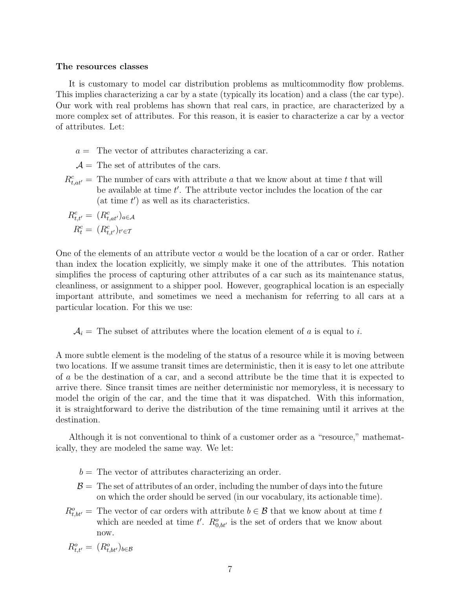#### The resources classes

It is customary to model car distribution problems as multicommodity flow problems. This implies characterizing a car by a state (typically its location) and a class (the car type). Our work with real problems has shown that real cars, in practice, are characterized by a more complex set of attributes. For this reason, it is easier to characterize a car by a vector of attributes. Let:

- $a =$  The vector of attributes characterizing a car.
- $\mathcal{A} =$  The set of attributes of the cars.
- $R_{t,at'}^c$  = The number of cars with attribute a that we know about at time t that will be available at time  $t'$ . The attribute vector includes the location of the car (at time  $t'$ ) as well as its characteristics.

$$
R_{t,t'}^c = (R_{t,at'}^c)_{a \in \mathcal{A}}
$$

$$
R_t^c = (R_{t,t'}^c)_{t' \in \mathcal{T}}
$$

One of the elements of an attribute vector a would be the location of a car or order. Rather than index the location explicitly, we simply make it one of the attributes. This notation simplifies the process of capturing other attributes of a car such as its maintenance status, cleanliness, or assignment to a shipper pool. However, geographical location is an especially important attribute, and sometimes we need a mechanism for referring to all cars at a particular location. For this we use:

 $A_i$  = The subset of attributes where the location element of a is equal to i.

A more subtle element is the modeling of the status of a resource while it is moving between two locations. If we assume transit times are deterministic, then it is easy to let one attribute of a be the destination of a car, and a second attribute be the time that it is expected to arrive there. Since transit times are neither deterministic nor memoryless, it is necessary to model the origin of the car, and the time that it was dispatched. With this information, it is straightforward to derive the distribution of the time remaining until it arrives at the destination.

Although it is not conventional to think of a customer order as a "resource," mathematically, they are modeled the same way. We let:

- $b =$ The vector of attributes characterizing an order.
- $\mathcal{B}$  = The set of attributes of an order, including the number of days into the future on which the order should be served (in our vocabulary, its actionable time).
- $R_{t,bt'}^o =$  The vector of car orders with attribute  $b \in \mathcal{B}$  that we know about at time t which are needed at time t'.  $R_{0,bt'}^o$  is the set of orders that we know about now.

$$
R_{t,t'}^o = (R_{t,bt'}^o)_{b \in \mathcal{B}}
$$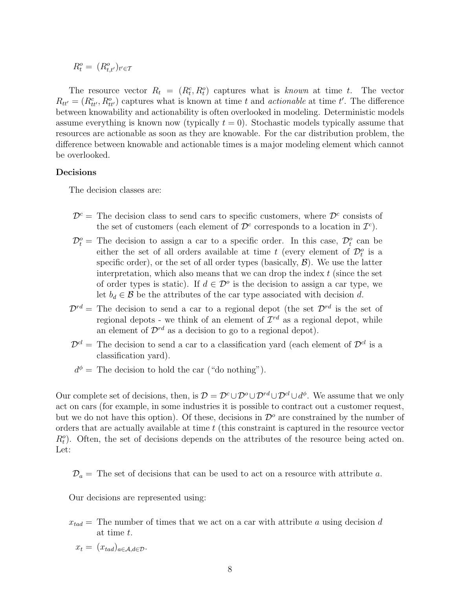$$
R_t^o = (R_{t,t'}^o)_{t' \in \mathcal{T}}
$$

The resource vector  $R_t = (R_t^c, R_t^o)$  captures what is known at time t. The vector  $R_{tt'} = (R_{tt'}^c, R_{tt'}^o)$  captures what is known at time t and *actionable* at time t'. The difference between knowability and actionability is often overlooked in modeling. Deterministic models assume everything is known now (typically  $t = 0$ ). Stochastic models typically assume that resources are actionable as soon as they are knowable. For the car distribution problem, the difference between knowable and actionable times is a major modeling element which cannot be overlooked.

#### Decisions

The decision classes are:

- $\mathcal{D}^c$  = The decision class to send cars to specific customers, where  $\mathcal{D}^c$  consists of the set of customers (each element of  $\mathcal{D}^c$  corresponds to a location in  $\mathcal{I}^c$ ).
- $\mathcal{D}_t^o$  = The decision to assign a car to a specific order. In this case,  $\mathcal{D}_t^o$  can be either the set of all orders available at time t (every element of  $\mathcal{D}_t^o$  is a specific order), or the set of all order types (basically,  $\mathcal{B}$ ). We use the latter interpretation, which also means that we can drop the index  $t$  (since the set of order types is static). If  $d \in \mathcal{D}^{\circ}$  is the decision to assign a car type, we let  $b_d \in \mathcal{B}$  be the attributes of the car type associated with decision d.
- $\mathcal{D}^{rd}$  = The decision to send a car to a regional depot (the set  $\mathcal{D}^{rd}$  is the set of regional depots - we think of an element of  $\mathcal{I}^{rd}$  as a regional depot, while an element of  $\mathcal{D}^{rd}$  as a decision to go to a regional depot).
- $\mathcal{D}^{cl}$  = The decision to send a car to a classification yard (each element of  $\mathcal{D}^{cl}$  is a classification yard).
- $d^{\phi}$  = The decision to hold the car ("do nothing").

Our complete set of decisions, then, is  $\mathcal{D} = \mathcal{D}^c \cup \mathcal{D}^o \cup \mathcal{D}^{rd} \cup \mathcal{D}^{cl} \cup d^{\phi}$ . We assume that we only act on cars (for example, in some industries it is possible to contract out a customer request, but we do not have this option). Of these, decisions in  $\mathcal{D}^o$  are constrained by the number of orders that are actually available at time t (this constraint is captured in the resource vector  $R_t^o$ ). Often, the set of decisions depends on the attributes of the resource being acted on. Let:

 $\mathcal{D}_a$  = The set of decisions that can be used to act on a resource with attribute a.

Our decisions are represented using:

- $x_{tad}$  = The number of times that we act on a car with attribute a using decision d at time t.
	- $x_t = (x_{tad})_{a \in A, d \in \mathcal{D}}.$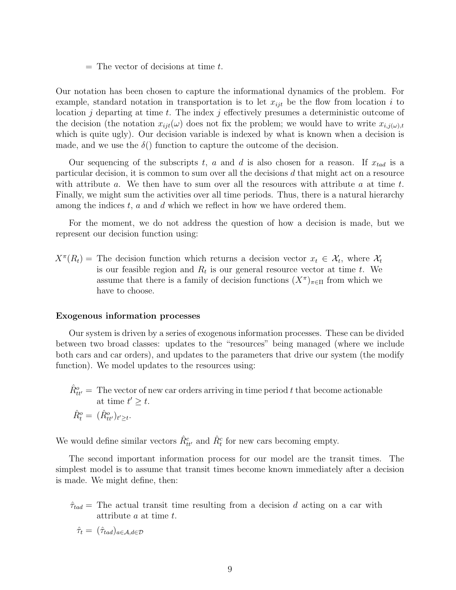$=$  The vector of decisions at time t.

Our notation has been chosen to capture the informational dynamics of the problem. For example, standard notation in transportation is to let  $x_{i}$  be the flow from location i to location j departing at time t. The index j effectively presumes a deterministic outcome of the decision (the notation  $x_{ijt}(\omega)$  does not fix the problem; we would have to write  $x_{i,j(\omega),t}$ which is quite ugly). Our decision variable is indexed by what is known when a decision is made, and we use the  $\delta$ .) function to capture the outcome of the decision.

Our sequencing of the subscripts t, a and d is also chosen for a reason. If  $x_{tad}$  is a particular decision, it is common to sum over all the decisions d that might act on a resource with attribute  $a$ . We then have to sum over all the resources with attribute  $a$  at time  $t$ . Finally, we might sum the activities over all time periods. Thus, there is a natural hierarchy among the indices  $t$ ,  $a$  and  $d$  which we reflect in how we have ordered them.

For the moment, we do not address the question of how a decision is made, but we represent our decision function using:

 $X^{\pi}(R_t)$  = The decision function which returns a decision vector  $x_t \in \mathcal{X}_t$ , where  $\mathcal{X}_t$ is our feasible region and  $R_t$  is our general resource vector at time t. We assume that there is a family of decision functions  $(X^{\pi})_{\pi \in \Pi}$  from which we have to choose.

#### Exogenous information processes

Our system is driven by a series of exogenous information processes. These can be divided between two broad classes: updates to the "resources" being managed (where we include both cars and car orders), and updates to the parameters that drive our system (the modify function). We model updates to the resources using:

 $\hat{R}_{tt'}^{o} = 0$  The vector of new car orders arriving in time period t that become actionable at time  $t' \geq t$ .  $\hat{R}_{t}^{o} = (\hat{R}_{tt'}^{o})_{t' \geq t}.$ 

We would define similar vectors  $\hat{R}_{tt'}^c$  and  $\hat{R}_t^c$  for new cars becoming empty.

The second important information process for our model are the transit times. The simplest model is to assume that transit times become known immediately after a decision is made. We might define, then:

 $\hat{\tau}_{tad}$  = The actual transit time resulting from a decision d acting on a car with attribute a at time t.

$$
\hat{\tau}_t = (\hat{\tau}_{tad})_{a \in \mathcal{A}, d \in \mathcal{D}}
$$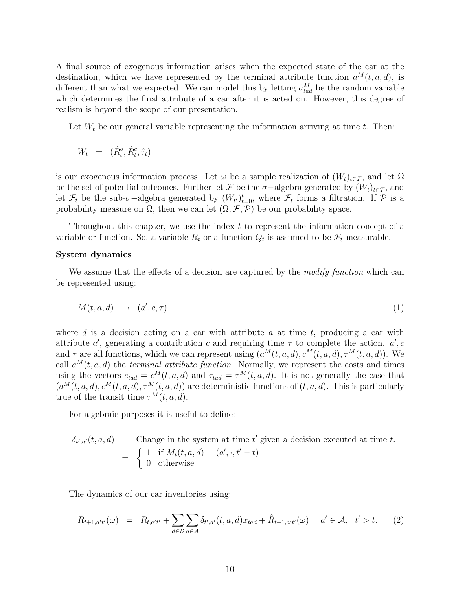A final source of exogenous information arises when the expected state of the car at the destination, which we have represented by the terminal attribute function  $a^M(t, a, d)$ , is different than what we expected. We can model this by letting  $\hat{a}_{tad}^{M}$  be the random variable which determines the final attribute of a car after it is acted on. However, this degree of realism is beyond the scope of our presentation.

Let  $W_t$  be our general variable representing the information arriving at time  $t$ . Then:

$$
W_t = (\hat{R}_t^o, \hat{R}_t^c, \hat{\tau}_t)
$$

is our exogenous information process. Let  $\omega$  be a sample realization of  $(W_t)_{t\in\mathcal{T}}$ , and let  $\Omega$ be the set of potential outcomes. Further let F be the  $\sigma$ -algebra generated by  $(W_t)_{t \in \mathcal{T}}$ , and let  $\mathcal{F}_t$  be the sub- $\sigma$ -algebra generated by  $(W_{t'})_{t=0}^t$ , where  $\mathcal{F}_t$  forms a filtration. If  $\mathcal P$  is a probability measure on  $\Omega$ , then we can let  $(\Omega, \mathcal{F}, \mathcal{P})$  be our probability space.

Throughout this chapter, we use the index t to represent the information concept of a variable or function. So, a variable  $R_t$  or a function  $Q_t$  is assumed to be  $\mathcal{F}_t$ -measurable.

#### System dynamics

We assume that the effects of a decision are captured by the *modify function* which can be represented using:

$$
M(t, a, d) \rightarrow (a', c, \tau) \tag{1}
$$

where d is a decision acting on a car with attribute a at time t, producing a car with attribute a', generating a contribution c and requiring time  $\tau$  to complete the action. a', c and  $\tau$  are all functions, which we can represent using  $(a^M(t, a, d), c^M(t, a, d), \tau^M(t, a, d))$ . We call  $a^M(t, a, d)$  the terminal attribute function. Normally, we represent the costs and times using the vectors  $c_{tad} = c^M(t, a, d)$  and  $\tau_{tad} = \tau^M(t, a, d)$ . It is not generally the case that  $(a^M(t, a, d), c^M(t, a, d), \tau^M(t, a, d))$  are deterministic functions of  $(t, a, d)$ . This is particularly true of the transit time  $\tau^M(t, a, d)$ .

For algebraic purposes it is useful to define:

$$
\delta_{t',a'}(t,a,d) = \text{Change in the system at time } t' \text{ given a decision executed at time } t.
$$
  
= 
$$
\begin{cases} 1 & \text{if } M_t(t,a,d) = (a', \cdot, t'-t) \\ 0 & \text{otherwise} \end{cases}
$$

The dynamics of our car inventories using:

<span id="page-10-0"></span>
$$
R_{t+1,a't'}(\omega) = R_{t,a't'} + \sum_{d \in \mathcal{D}} \sum_{a \in \mathcal{A}} \delta_{t',a'}(t,a,d) x_{tad} + \hat{R}_{t+1,a't'}(\omega) \quad a' \in \mathcal{A}, \quad t' > t. \tag{2}
$$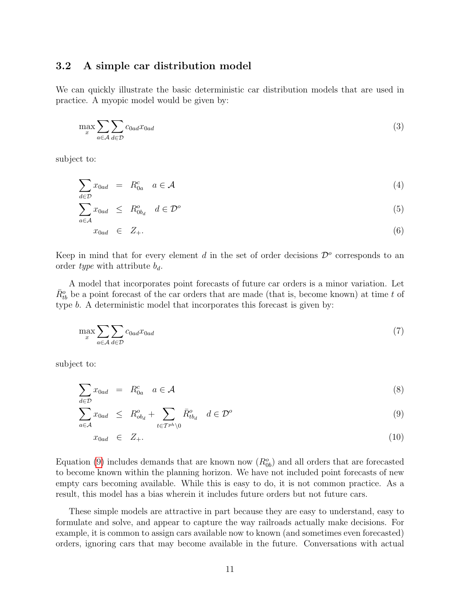#### <span id="page-11-0"></span>3.2 A simple car distribution model

We can quickly illustrate the basic deterministic car distribution models that are used in practice. A myopic model would be given by:

$$
\max_{x} \sum_{a \in \mathcal{A}} \sum_{d \in \mathcal{D}} c_{0ad} x_{0ad} \tag{3}
$$

subject to:

$$
\sum x_{0ad} = R_{0a}^c \quad a \in \mathcal{A} \tag{4}
$$

$$
\sum_{a \in \mathcal{A}}^{d \in \mathcal{D}} x_{0ad} \leq R_{0bd}^o \quad d \in \mathcal{D}^o \tag{5}
$$

$$
x_{0ad} \in Z_+.\tag{6}
$$

Keep in mind that for every element  $d$  in the set of order decisions  $\mathcal{D}^o$  corresponds to an order type with attribute  $b_d$ .

A model that incorporates point forecasts of future car orders is a minor variation. Let  $\bar{R}_{tb}^o$  be a point forecast of the car orders that are made (that is, become known) at time t of type b. A deterministic model that incorporates this forecast is given by:

$$
\max_{x} \sum_{a \in \mathcal{A}} \sum_{d \in \mathcal{D}} c_{0ad} x_{0ad} \tag{7}
$$

subject to:

<span id="page-11-1"></span>
$$
\sum_{d \in \mathcal{D}} x_{0ad} = R_{0a}^c \quad a \in \mathcal{A}
$$
\n
$$
(8)
$$

$$
\sum_{a \in \mathcal{A}} x_{0ad} \le R_{ob_d}^o + \sum_{t \in \mathcal{T}^{ph} \setminus 0} \bar{R}_{tb_d}^o \quad d \in \mathcal{D}^o \tag{9}
$$

$$
x_{0ad} \in Z_+.\tag{10}
$$

Equation [\(9\)](#page-11-1) includes demands that are known now  $(R_{0b}^{\circ})$  and all orders that are forecasted to become known within the planning horizon. We have not included point forecasts of new empty cars becoming available. While this is easy to do, it is not common practice. As a result, this model has a bias wherein it includes future orders but not future cars.

These simple models are attractive in part because they are easy to understand, easy to formulate and solve, and appear to capture the way railroads actually make decisions. For example, it is common to assign cars available now to known (and sometimes even forecasted) orders, ignoring cars that may become available in the future. Conversations with actual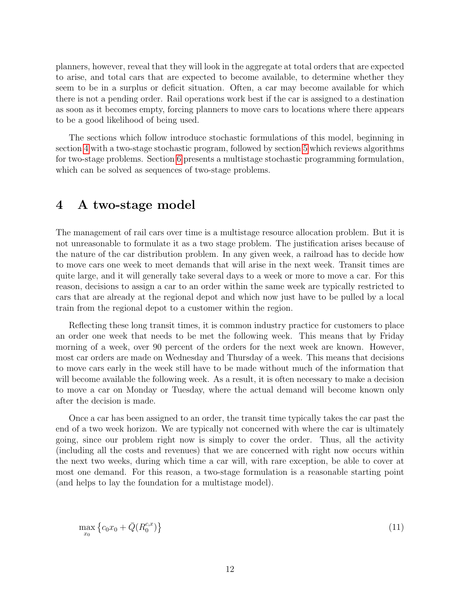planners, however, reveal that they will look in the aggregate at total orders that are expected to arise, and total cars that are expected to become available, to determine whether they seem to be in a surplus or deficit situation. Often, a car may become available for which there is not a pending order. Rail operations work best if the car is assigned to a destination as soon as it becomes empty, forcing planners to move cars to locations where there appears to be a good likelihood of being used.

The sections which follow introduce stochastic formulations of this model, beginning in section [4](#page-12-0) with a two-stage stochastic program, followed by section [5](#page-13-0) which reviews algorithms for two-stage problems. Section [6](#page-19-0) presents a multistage stochastic programming formulation, which can be solved as sequences of two-stage problems.

### <span id="page-12-0"></span>4 A two-stage model

The management of rail cars over time is a multistage resource allocation problem. But it is not unreasonable to formulate it as a two stage problem. The justification arises because of the nature of the car distribution problem. In any given week, a railroad has to decide how to move cars one week to meet demands that will arise in the next week. Transit times are quite large, and it will generally take several days to a week or more to move a car. For this reason, decisions to assign a car to an order within the same week are typically restricted to cars that are already at the regional depot and which now just have to be pulled by a local train from the regional depot to a customer within the region.

Reflecting these long transit times, it is common industry practice for customers to place an order one week that needs to be met the following week. This means that by Friday morning of a week, over 90 percent of the orders for the next week are known. However, most car orders are made on Wednesday and Thursday of a week. This means that decisions to move cars early in the week still have to be made without much of the information that will become available the following week. As a result, it is often necessary to make a decision to move a car on Monday or Tuesday, where the actual demand will become known only after the decision is made.

Once a car has been assigned to an order, the transit time typically takes the car past the end of a two week horizon. We are typically not concerned with where the car is ultimately going, since our problem right now is simply to cover the order. Thus, all the activity (including all the costs and revenues) that we are concerned with right now occurs within the next two weeks, during which time a car will, with rare exception, be able to cover at most one demand. For this reason, a two-stage formulation is a reasonable starting point (and helps to lay the foundation for a multistage model).

$$
\max_{x_0} \left\{ c_0 x_0 + \bar{Q}(R_0^{c,x}) \right\} \tag{11}
$$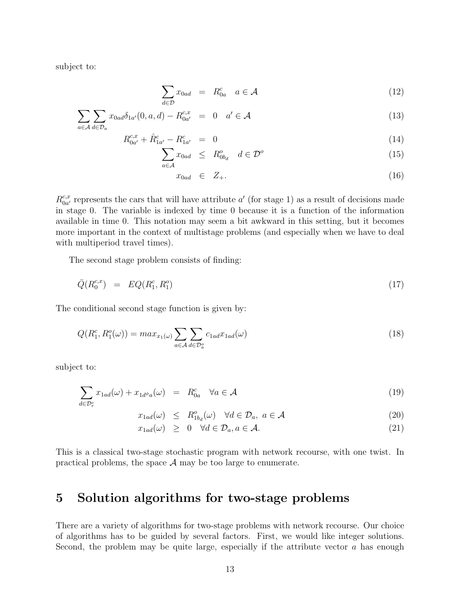subject to:

$$
\sum_{d \in \mathcal{D}} x_{0ad} = R_{0a}^c \quad a \in \mathcal{A}
$$
 (12)

$$
\sum_{a\in\mathcal{A}}\sum_{d\in\mathcal{D}_a} x_{0ad}\delta_{1a'}(0,a,d) - R_{0a'}^{c,x} = 0 \quad a'\in\mathcal{A}
$$
\n(13)

$$
R_{0a'}^{c,x} + \hat{R}_{1a'}^{c} - R_{1a'}^{c} = 0
$$
\n
$$
\sum x_{0a'} \leq R_{0a}^{o} \quad d \in \mathcal{D}^{o}
$$
\n(14)

$$
\sum_{a \in \mathcal{A}} x_{0ad} \le R^o_{0b_d} \quad d \in \mathcal{D}^o \tag{15}
$$

$$
x_{0ad} \in Z_+.\tag{16}
$$

 $R_{0a'}^{c,x}$  $\frac{c,x}{0a'}$  represents the cars that will have attribute  $a'$  (for stage 1) as a result of decisions made in stage 0. The variable is indexed by time 0 because it is a function of the information available in time 0. This notation may seem a bit awkward in this setting, but it becomes more important in the context of multistage problems (and especially when we have to deal with multiperiod travel times).

The second stage problem consists of finding:

<span id="page-13-1"></span>
$$
\bar{Q}(R_0^{c,x}) = EQ(R_1^c, R_1^o) \tag{17}
$$

The conditional second stage function is given by:

<span id="page-13-2"></span>
$$
Q(R_1^c, R_1^o(\omega)) = \max_{x_1(\omega)} \sum_{a \in \mathcal{A}} \sum_{d \in \mathcal{D}_a^o} c_{1ad} x_{1ad}(\omega) \tag{18}
$$

subject to:

<span id="page-13-3"></span>
$$
\sum_{d \in \mathcal{D}_r^c} x_{1ad}(\omega) + x_{1d^{\phi}a}(\omega) = R_{0a}^c \quad \forall a \in \mathcal{A}
$$
\n(19)

$$
x_{1ad}(\omega) \le R^o_{1b_d}(\omega) \quad \forall d \in \mathcal{D}_a, \ a \in \mathcal{A}
$$
\n
$$
(20)
$$

$$
x_{1ad}(\omega) \geq 0 \quad \forall d \in \mathcal{D}_a, a \in \mathcal{A}.\tag{21}
$$

This is a classical two-stage stochastic program with network recourse, with one twist. In practical problems, the space  $A$  may be too large to enumerate.

### <span id="page-13-0"></span>5 Solution algorithms for two-stage problems

There are a variety of algorithms for two-stage problems with network recourse. Our choice of algorithms has to be guided by several factors. First, we would like integer solutions. Second, the problem may be quite large, especially if the attribute vector  $a$  has enough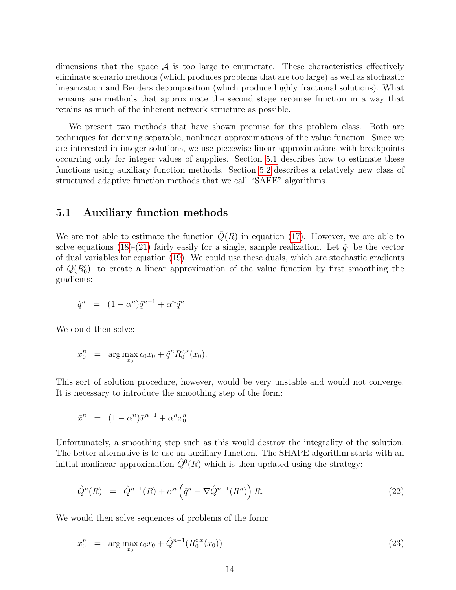dimensions that the space  $A$  is too large to enumerate. These characteristics effectively eliminate scenario methods (which produces problems that are too large) as well as stochastic linearization and Benders decomposition (which produce highly fractional solutions). What remains are methods that approximate the second stage recourse function in a way that retains as much of the inherent network structure as possible.

We present two methods that have shown promise for this problem class. Both are techniques for deriving separable, nonlinear approximations of the value function. Since we are interested in integer solutions, we use piecewise linear approximations with breakpoints occurring only for integer values of supplies. Section [5.1](#page-14-0) describes how to estimate these functions using auxiliary function methods. Section [5.2](#page-15-0) describes a relatively new class of structured adaptive function methods that we call "SAFE" algorithms.

#### <span id="page-14-0"></span>5.1 Auxiliary function methods

We are not able to estimate the function  $Q(R)$  in equation [\(17\)](#page-13-1). However, we are able to solve equations [\(18\)](#page-13-2)-[\(21\)](#page-13-3) fairly easily for a single, sample realization. Let  $\tilde{q}_1$  be the vector of dual variables for equation [\(19\)](#page-13-3). We could use these duals, which are stochastic gradients of  $\bar{Q}(R_0^c)$ , to create a linear approximation of the value function by first smoothing the gradients:

$$
\hat{q}^n = (1 - \alpha^n)\hat{q}^{n-1} + \alpha^n \tilde{q}^n
$$

We could then solve:

$$
x_0^n = \arg \max_{x_0} c_0 x_0 + \hat{q}^n R_0^{c,x}(x_0).
$$

This sort of solution procedure, however, would be very unstable and would not converge. It is necessary to introduce the smoothing step of the form:

$$
\bar{x}^n = (1 - \alpha^n)\bar{x}^{n-1} + \alpha^n x_0^n.
$$

Unfortunately, a smoothing step such as this would destroy the integrality of the solution. The better alternative is to use an auxiliary function. The SHAPE algorithm starts with an initial nonlinear approximation  $\hat{Q}^0(R)$  which is then updated using the strategy:

<span id="page-14-1"></span>
$$
\hat{Q}^n(R) = \hat{Q}^{n-1}(R) + \alpha^n \left(\tilde{q}^n - \nabla \hat{Q}^{n-1}(R^n)\right) R. \tag{22}
$$

We would then solve sequences of problems of the form:

<span id="page-14-2"></span>
$$
x_0^n = \arg \max_{x_0} c_0 x_0 + \hat{Q}^{n-1}(R_0^{c,x}(x_0))
$$
\n(23)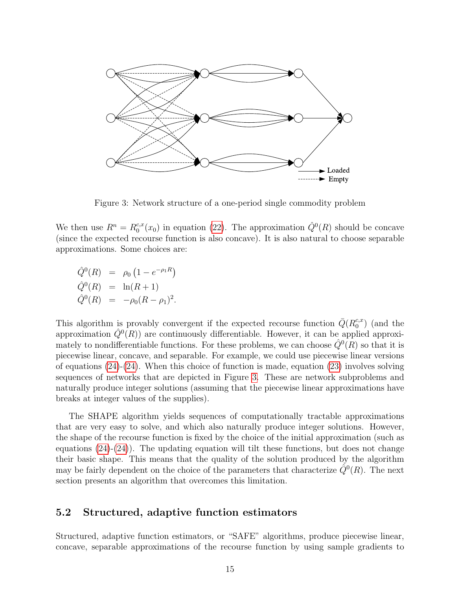

<span id="page-15-1"></span>Figure 3: Network structure of a one-period single commodity problem

We then use  $R^n = R_0^{c,x}$  $c_0^{c,x}(x_0)$  in equation [\(22\)](#page-14-1). The approximation  $\hat{Q}^0(R)$  should be concave (since the expected recourse function is also concave). It is also natural to choose separable approximations. Some choices are:

$$
\hat{Q}^0(R) = \rho_0 \left( 1 - e^{-\rho_1 R} \right) \n\hat{Q}^0(R) = \ln(R+1) \n\hat{Q}^0(R) = -\rho_0 (R - \rho_1)^2.
$$

This algorithm is provably convergent if the expected recourse function  $\bar{Q}(R_0^{c,x})$  $_{0}^{c,x}$ ) (and the approximation  $\hat{Q}^0(R)$  are continuously differentiable. However, it can be applied approximately to nondifferentiable functions. For these problems, we can choose  $\hat{Q}^0(R)$  so that it is piecewise linear, concave, and separable. For example, we could use piecewise linear versions of equations  $(24)-(24)$  $(24)-(24)$ . When this choice of function is made, equation  $(23)$  involves solving sequences of networks that are depicted in Figure [3.](#page-15-1) These are network subproblems and naturally produce integer solutions (assuming that the piecewise linear approximations have breaks at integer values of the supplies).

The SHAPE algorithm yields sequences of computationally tractable approximations that are very easy to solve, and which also naturally produce integer solutions. However, the shape of the recourse function is fixed by the choice of the initial approximation (such as equations  $(24)-(24)$  $(24)-(24)$ . The updating equation will tilt these functions, but does not change their basic shape. This means that the quality of the solution produced by the algorithm may be fairly dependent on the choice of the parameters that characterize  $\tilde{Q}^0(R)$ . The next section presents an algorithm that overcomes this limitation.

#### <span id="page-15-0"></span>5.2 Structured, adaptive function estimators

Structured, adaptive function estimators, or "SAFE" algorithms, produce piecewise linear, concave, separable approximations of the recourse function by using sample gradients to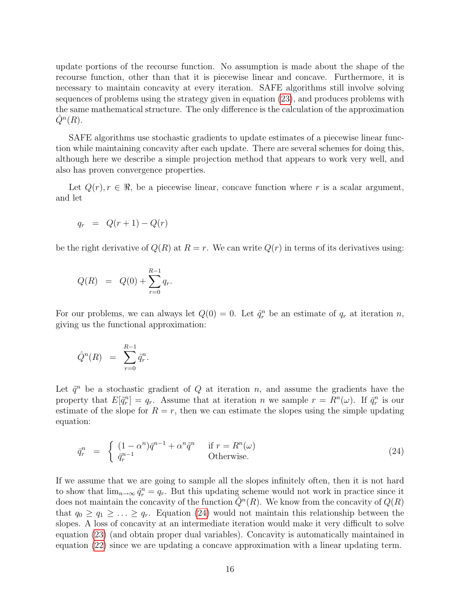update portions of the recourse function. No assumption is made about the shape of the recourse function, other than that it is piecewise linear and concave. Furthermore, it is necessary to maintain concavity at every iteration. SAFE algorithms still involve solving sequences of problems using the strategy given in equation [\(23\)](#page-14-2), and produces problems with the same mathematical structure. The only difference is the calculation of the approximation  $\hat{Q}^n(R)$ .

SAFE algorithms use stochastic gradients to update estimates of a piecewise linear function while maintaining concavity after each update. There are several schemes for doing this, although here we describe a simple projection method that appears to work very well, and also has proven convergence properties.

Let  $Q(r), r \in \Re$ , be a piecewise linear, concave function where r is a scalar argument, and let

$$
q_r = Q(r+1) - Q(r)
$$

be the right derivative of  $Q(R)$  at  $R = r$ . We can write  $Q(r)$  in terms of its derivatives using:

$$
Q(R) = Q(0) + \sum_{r=0}^{R-1} q_r.
$$

For our problems, we can always let  $Q(0) = 0$ . Let  $\hat{q}_r^n$  be an estimate of  $q_r$  at iteration n, giving us the functional approximation:

$$
\hat{Q}^n(R) = \sum_{r=0}^{R-1} \hat{q}_r^n.
$$

Let  $\tilde{q}^n$  be a stochastic gradient of Q at iteration n, and assume the gradients have the property that  $E[\tilde{q}_r^n] = q_r$ . Assume that at iteration n we sample  $r = R^n(\omega)$ . If  $\bar{q}_r^n$  is our estimate of the slope for  $R = r$ , then we can estimate the slopes using the simple updating equation:

<span id="page-16-0"></span>
$$
\bar{q}_r^n = \begin{cases}\n(1 - \alpha^n)\bar{q}^{n-1} + \alpha^n \tilde{q}^n & \text{if } r = R^n(\omega) \\
\bar{q}_r^{n-1} & \text{Otherwise.} \n\end{cases}
$$
\n(24)

If we assume that we are going to sample all the slopes infinitely often, then it is not hard to show that  $\lim_{n\to\infty} \hat{q}_r^n = q_r$ . But this updating scheme would not work in practice since it does not maintain the concavity of the function  $\tilde{Q}^n(R)$ . We know from the concavity of  $Q(R)$ that  $q_0 \geq q_1 \geq \ldots \geq q_r$ . Equation [\(24\)](#page-16-0) would not maintain this relationship between the slopes. A loss of concavity at an intermediate iteration would make it very difficult to solve equation [\(23\)](#page-14-2) (and obtain proper dual variables). Concavity is automatically maintained in equation [\(22\)](#page-14-1) since we are updating a concave approximation with a linear updating term.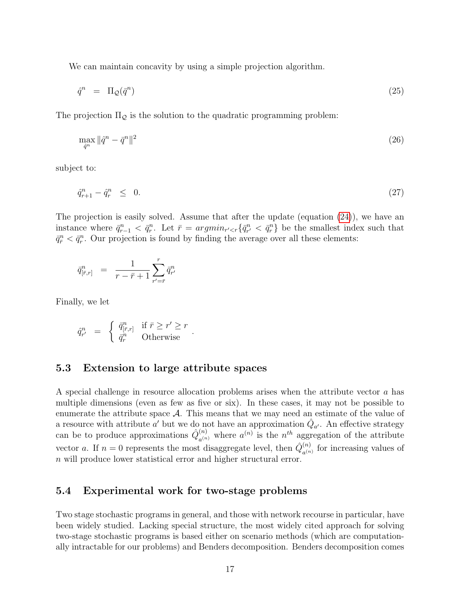We can maintain concavity by using a simple projection algorithm.

$$
\hat{q}^n = \Pi_{\mathcal{Q}}(\bar{q}^n) \tag{25}
$$

The projection  $\Pi_{\mathcal{Q}}$  is the solution to the quadratic programming problem:

$$
\max_{\hat{q}^n} \|\hat{q}^n - \bar{q}^n\|^2 \tag{26}
$$

subject to:

$$
\hat{q}_{r+1}^n - \hat{q}_r^n \leq 0. \tag{27}
$$

The projection is easily solved. Assume that after the update (equation [\(24\)](#page-16-0)), we have an instance where  $\bar{q}_{r-1}^n < \bar{q}_r^n$ . Let  $\bar{r} = argmin_{r' < r} {\bar{q}_{r'}^n} < \bar{q}_r^n$  be the smallest index such that  $\bar{q}_{\bar{r}}^n < \bar{q}_r^n$ . Our projection is found by finding the average over all these elements:

$$
\bar{q}^n_{[\bar{r},r]} \ = \ \frac{1}{r-\bar{r}+1} \sum_{r'=\bar{r}}^r \bar{q}^n_{r'}
$$

Finally, we let

$$
\hat{q}_{r'}^n = \begin{cases} \bar{q}_{[\bar{r},r]}^n & \text{if } \bar{r} \ge r' \ge r \\ \bar{q}_r^n & \text{Otherwise} \end{cases}.
$$

#### 5.3 Extension to large attribute spaces

A special challenge in resource allocation problems arises when the attribute vector a has multiple dimensions (even as few as five or six). In these cases, it may not be possible to enumerate the attribute space  $A$ . This means that we may need an estimate of the value of a resource with attribute  $a'$  but we do not have an approximation  $\hat{Q}_{a'}$ . An effective strategy can be to produce approximations  $\hat{Q}_{\epsilon(n)}^{(n)}$  $a_{a^{(n)}}^{(n)}$  where  $a^{(n)}$  is the  $n^{th}$  aggregation of the attribute vector a. If  $n = 0$  represents the most disaggregate level, then  $\hat{Q}_{n}^{(n)}$  $a^{(n)}_{a^{(n)}}$  for increasing values of n will produce lower statistical error and higher structural error.

#### 5.4 Experimental work for two-stage problems

Two stage stochastic programs in general, and those with network recourse in particular, have been widely studied. Lacking special structure, the most widely cited approach for solving two-stage stochastic programs is based either on scenario methods (which are computationally intractable for our problems) and Benders decomposition. Benders decomposition comes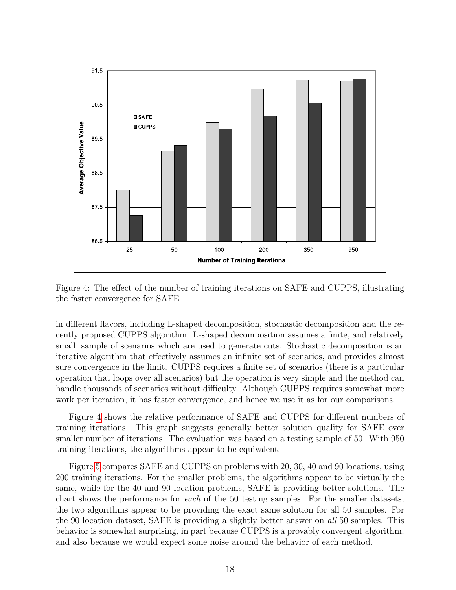

<span id="page-18-0"></span>Figure 4: The effect of the number of training iterations on SAFE and CUPPS, illustrating the faster convergence for SAFE

in different flavors, including L-shaped decomposition, stochastic decomposition and the recently proposed CUPPS algorithm. L-shaped decomposition assumes a finite, and relatively small, sample of scenarios which are used to generate cuts. Stochastic decomposition is an iterative algorithm that effectively assumes an infinite set of scenarios, and provides almost sure convergence in the limit. CUPPS requires a finite set of scenarios (there is a particular operation that loops over all scenarios) but the operation is very simple and the method can handle thousands of scenarios without difficulty. Although CUPPS requires somewhat more work per iteration, it has faster convergence, and hence we use it as for our comparisons.

Figure [4](#page-18-0) shows the relative performance of SAFE and CUPPS for different numbers of training iterations. This graph suggests generally better solution quality for SAFE over smaller number of iterations. The evaluation was based on a testing sample of 50. With 950 training iterations, the algorithms appear to be equivalent.

Figure [5](#page-19-1) compares SAFE and CUPPS on problems with 20, 30, 40 and 90 locations, using 200 training iterations. For the smaller problems, the algorithms appear to be virtually the same, while for the 40 and 90 location problems, SAFE is providing better solutions. The chart shows the performance for each of the 50 testing samples. For the smaller datasets, the two algorithms appear to be providing the exact same solution for all 50 samples. For the 90 location dataset, SAFE is providing a slightly better answer on all 50 samples. This behavior is somewhat surprising, in part because CUPPS is a provably convergent algorithm, and also because we would expect some noise around the behavior of each method.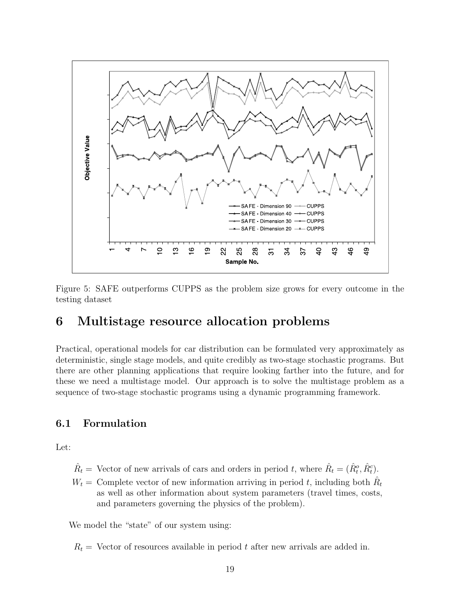

<span id="page-19-1"></span>Figure 5: SAFE outperforms CUPPS as the problem size grows for every outcome in the testing dataset

# <span id="page-19-0"></span>6 Multistage resource allocation problems

Practical, operational models for car distribution can be formulated very approximately as deterministic, single stage models, and quite credibly as two-stage stochastic programs. But there are other planning applications that require looking farther into the future, and for these we need a multistage model. Our approach is to solve the multistage problem as a sequence of two-stage stochastic programs using a dynamic programming framework.

### 6.1 Formulation

Let:

- $\hat{R}_t$  = Vector of new arrivals of cars and orders in period t, where  $\hat{R}_t = (\hat{R}_t^o, \hat{R}_t^c)$ .
- $W_t =$  Complete vector of new information arriving in period t, including both  $\hat{R}_t$ as well as other information about system parameters (travel times, costs, and parameters governing the physics of the problem).

We model the "state" of our system using:

 $R_t$  = Vector of resources available in period t after new arrivals are added in.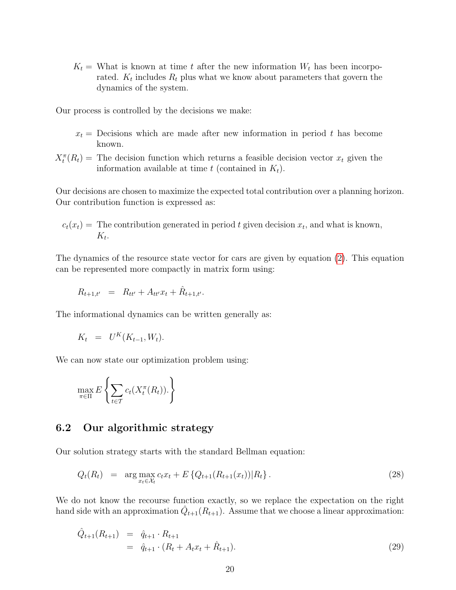$K_t$  = What is known at time t after the new information  $W_t$  has been incorporated.  $K_t$  includes  $R_t$  plus what we know about parameters that govern the dynamics of the system.

Our process is controlled by the decisions we make:

- $x_t$  = Decisions which are made after new information in period t has become known.
- $X_t^{\pi}(R_t)$  = The decision function which returns a feasible decision vector  $x_t$  given the information available at time t (contained in  $K_t$ ).

Our decisions are chosen to maximize the expected total contribution over a planning horizon. Our contribution function is expressed as:

$$
c_t(x_t) =
$$
 The contribution generated in period  $t$  given decision  $x_t$ , and what is known,  $K_t$ .

The dynamics of the resource state vector for cars are given by equation [\(2\)](#page-10-0). This equation can be represented more compactly in matrix form using:

$$
R_{t+1,t'} = R_{tt'} + A_{tt'}x_t + \hat{R}_{t+1,t'}.
$$

The informational dynamics can be written generally as:

$$
K_t = U^K(K_{t-1}, W_t).
$$

We can now state our optimization problem using:

$$
\max_{\pi \in \Pi} E \left\{ \sum_{t \in \mathcal{T}} c_t(X_t^{\pi}(R_t)). \right\}
$$

#### 6.2 Our algorithmic strategy

Our solution strategy starts with the standard Bellman equation:

<span id="page-20-1"></span>
$$
Q_t(R_t) = \arg \max_{x_t \in \mathcal{X}_t} c_t x_t + E\left\{Q_{t+1}(R_{t+1}(x_t)) | R_t\right\}.
$$
\n(28)

We do not know the recourse function exactly, so we replace the expectation on the right hand side with an approximation  $\hat{Q}_{t+1}(R_{t+1})$ . Assume that we choose a linear approximation:

<span id="page-20-0"></span>
$$
\hat{Q}_{t+1}(R_{t+1}) = \hat{q}_{t+1} \cdot R_{t+1} \n= \hat{q}_{t+1} \cdot (R_t + A_t x_t + \hat{R}_{t+1}).
$$
\n(29)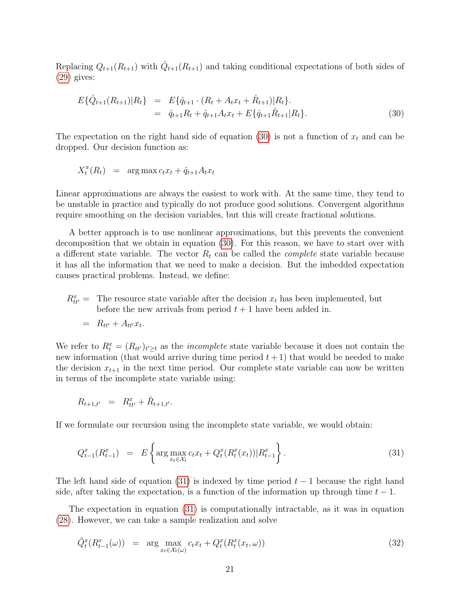Replacing  $Q_{t+1}(R_{t+1})$  with  $\hat{Q}_{t+1}(R_{t+1})$  and taking conditional expectations of both sides of [\(29\)](#page-20-0) gives:

<span id="page-21-0"></span>
$$
E\{\hat{Q}_{t+1}(R_{t+1})|R_t\} = E\{\hat{q}_{t+1} \cdot (R_t + A_t x_t + \hat{R}_{t+1})|R_t\}.
$$
  

$$
= \hat{q}_{t+1}R_t + \hat{q}_{t+1}A_t x_t + E\{\hat{q}_{t+1}\hat{R}_{t+1}|R_t\}.
$$
 (30)

The expectation on the right hand side of equation [\(30\)](#page-21-0) is not a function of  $x_t$  and can be dropped. Our decision function as:

$$
X_t^{\pi}(R_t) = \arg \max c_t x_t + \hat{q}_{t+1} A_t x_t
$$

Linear approximations are always the easiest to work with. At the same time, they tend to be unstable in practice and typically do not produce good solutions. Convergent algorithms require smoothing on the decision variables, but this will create fractional solutions.

A better approach is to use nonlinear approximations, but this prevents the convenient decomposition that we obtain in equation [\(30\)](#page-21-0). For this reason, we have to start over with a different state variable. The vector  $R_t$  can be called the *complete* state variable because it has all the information that we need to make a decision. But the imbedded expectation causes practical problems. Instead, we define:

 $R_{tt'}^{x}$  = The resource state variable after the decision  $x_t$  has been implemented, but before the new arrivals from period  $t + 1$  have been added in.

$$
= R_{tt'} + A_{tt'} x_t.
$$

We refer to  $R_t^x = (R_{tt'})_{t' \geq t}$  as the *incomplete* state variable because it does not contain the new information (that would arrive during time period  $t + 1$ ) that would be needed to make the decision  $x_{t+1}$  in the next time period. Our complete state variable can now be written in terms of the incomplete state variable using:

$$
R_{t+1,t'} = R_{tt'}^x + \hat{R}_{t+1,t'}.
$$

If we formulate our recursion using the incomplete state variable, we would obtain:

<span id="page-21-1"></span>
$$
Q_{t-1}^x(R_{t-1}^x) = E\left\{\arg\max_{x_t \in \mathcal{X}_t} c_t x_t + Q_t^x(R_t^x(x_t)) | R_{t-1}^x\right\}.
$$
\n(31)

The left hand side of equation [\(31\)](#page-21-1) is indexed by time period  $t-1$  because the right hand side, after taking the expectation, is a function of the information up through time  $t - 1$ .

The expectation in equation [\(31\)](#page-21-1) is computationally intractable, as it was in equation [\(28\)](#page-20-1). However, we can take a sample realization and solve

<span id="page-21-2"></span>
$$
\tilde{Q}_t^x(R_{t-1}^x(\omega)) = \arg \max_{x_t \in \mathcal{X}_t(\omega)} c_t x_t + Q_t^x(R_t^x(x_t, \omega)) \tag{32}
$$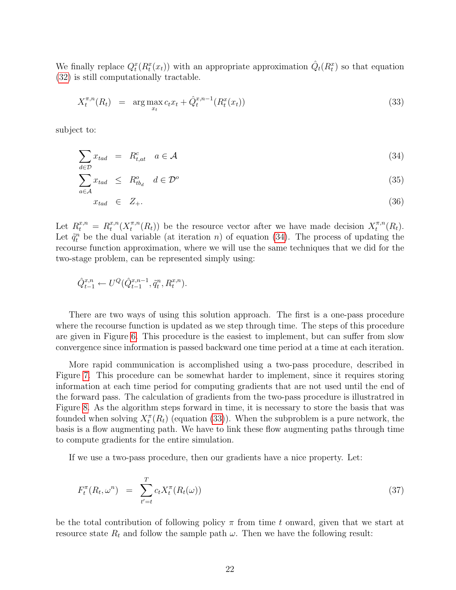We finally replace  $Q_t^x(R_t^x(x_t))$  with an appropriate approximation  $\hat{Q}_t(R_t^x)$  so that equation [\(32\)](#page-21-2) is still computationally tractable.

<span id="page-22-1"></span>
$$
X_t^{\pi,n}(R_t) = \arg \max_{x_t} c_t x_t + \hat{Q}_t^{x,n-1}(R_t^x(x_t))
$$
\n(33)

subject to:

<span id="page-22-0"></span>
$$
\sum_{d \in \mathcal{D}} x_{tad} = R_{t,at}^c \quad a \in \mathcal{A}
$$
\n(34)

$$
\sum_{a \in \mathcal{A}} x_{tad} \leq R_{tb_d}^o \quad d \in \mathcal{D}^o \tag{35}
$$

$$
x_{tad} \in Z_+.\tag{36}
$$

Let  $R_t^{x,n} = R_t^{x,n}$  $_{t}^{x,n}(X_{t}^{\pi,n}% ,\mathcal{I}_{t}^{\pi,n}% ,\mathcal{I}_{t}^{\pi,n}% ,\mathcal{I}_{t}^{\pi,n}% ,\mathcal{I}_{t}^{\pi,n}% ,\mathcal{I}_{t}^{\pi,n}% ,\mathcal{I}_{t}^{\pi,n}% ,\mathcal{I}_{t}^{\pi,n}%$  $\mathcal{L}^{\pi,n}(R_t)$  be the resource vector after we have made decision  $X_t^{\pi,n}$  $t^{\pi,n}(R_t).$ Let  $\tilde{q}_t^n$  be the dual variable (at iteration n) of equation [\(34\)](#page-22-0). The process of updating the recourse function approximation, where we will use the same techniques that we did for the two-stage problem, can be represented simply using:

$$
\hat{Q}_{t-1}^{x,n} \leftarrow U^{Q}(\hat{Q}_{t-1}^{x,n-1}, \tilde{q}_{t}^{n}, R_{t}^{x,n}).
$$

There are two ways of using this solution approach. The first is a one-pass procedure where the recourse function is updated as we step through time. The steps of this procedure are given in Figure [6.](#page-23-0) This procedure is the easiest to implement, but can suffer from slow convergence since information is passed backward one time period at a time at each iteration.

More rapid communication is accomplished using a two-pass procedure, described in Figure [7.](#page-24-0) This procedure can be somewhat harder to implement, since it requires storing information at each time period for computing gradients that are not used until the end of the forward pass. The calculation of gradients from the two-pass procedure is illustratred in Figure [8.](#page-25-0) As the algorithm steps forward in time, it is necessary to store the basis that was founded when solving  $X_t^{\pi}(R_t)$  (equation [\(33\)](#page-22-1)). When the subproblem is a pure network, the basis is a flow augmenting path. We have to link these flow augmenting paths through time to compute gradients for the entire simulation.

If we use a two-pass procedure, then our gradients have a nice property. Let:

$$
F_t^{\pi}(R_t, \omega^n) = \sum_{t'=t}^{T} c_t X_t^{\pi}(R_t(\omega))
$$
\n(37)

be the total contribution of following policy  $\pi$  from time t onward, given that we start at resource state  $R_t$  and follow the sample path  $\omega$ . Then we have the following result: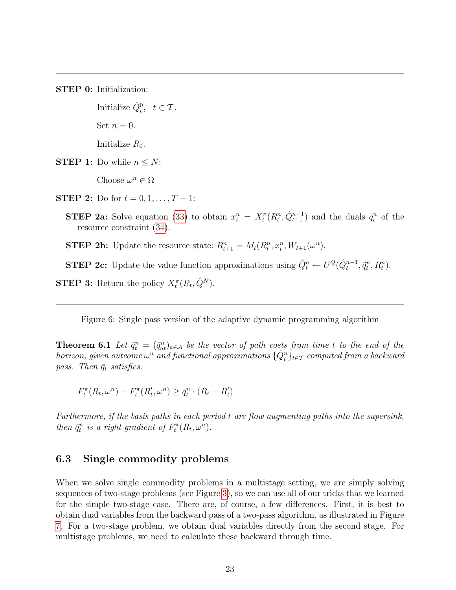STEP 0: Initialization:

Initialize  $\hat{Q}_t^0$ ,  $t \in \mathcal{T}$ . Set  $n = 0$ . Initialize  $R_0$ .

**STEP 1:** Do while  $n \leq N$ :

Choose  $\omega^n \in \Omega$ 

**STEP 2:** Do for  $t = 0, 1, ..., T - 1$ :

**STEP 2a:** Solve equation [\(33\)](#page-22-1) to obtain  $x_t^n = X_t^{\pi}(R_t^n, \hat{Q}_{t+1}^{n-1})$  and the duals  $\tilde{q}_t^n$  of the resource constraint [\(34\)](#page-22-0).

**STEP 2b:** Update the resource state:  $R_{t+1}^n = M_t(R_t^n, x_t^n, W_{t+1}(\omega^n))$ .

**STEP 2c:** Update the value function approximations using  $\hat{Q}_t^n \leftarrow U^Q(\hat{Q}_t^{n-1}, \tilde{q}_t^n, R_t^n)$ .

**STEP 3:** Return the policy  $X_t^{\pi}(R_t, \hat{Q}^N)$ .

<span id="page-23-0"></span>Figure 6: Single pass version of the adaptive dynamic programming algorithm

**Theorem 6.1** Let  $\bar{q}_t^n = (\bar{q}_{at}^n)_{a \in A}$  be the vector of path costs from time t to the end of the horizon, given outcome  $\omega^n$  and functional approximations  $\{\hat{Q}_t^n\}_{t\in\mathcal{T}}$  computed from a backward pass. Then  $\bar{q}_t$  satisfies:

$$
F_t^{\pi}(R_t, \omega^n) - F_t^{\pi}(R'_t, \omega^n) \ge \bar{q}_t^n \cdot (R_t - R'_t)
$$

Furthermore, if the basis paths in each period t are flow augmenting paths into the supersink, then  $\bar{q}_t^n$  is a right gradient of  $F_t^{\pi}(R_t, \omega^n)$ .

### 6.3 Single commodity problems

When we solve single commodity problems in a multistage setting, we are simply solving sequences of two-stage problems (see Figure [3\)](#page-15-1), so we can use all of our tricks that we learned for the simple two-stage case. There are, of course, a few differences. First, it is best to obtain dual variables from the backward pass of a two-pass algorithm, as illustrated in Figure [7.](#page-24-0) For a two-stage problem, we obtain dual variables directly from the second stage. For multistage problems, we need to calculate these backward through time.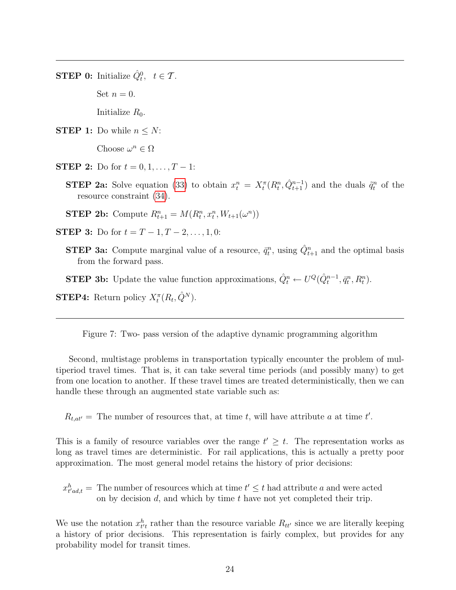**STEP 0:** Initialize  $\hat{Q}_t^0$ ,  $t \in \mathcal{T}$ .

Set  $n = 0$ .

Initialize  $R_0$ .

**STEP 1:** Do while  $n \leq N$ :

Choose  $\omega^n \in \Omega$ 

**STEP 2:** Do for  $t = 0, 1, ..., T - 1$ :

**STEP 2a:** Solve equation [\(33\)](#page-22-1) to obtain  $x_t^n = X_t^{\pi}(R_t^n, \hat{Q}_{t+1}^{n-1})$  and the duals  $\tilde{q}_t^n$  of the resource constraint [\(34\)](#page-22-0).

**STEP 2b:** Compute  $R_{t+1}^n = M(R_t^n, x_t^n, W_{t+1}(\omega^n))$ 

- **STEP 3:** Do for  $t = T 1, T 2, ..., 1, 0$ :
	- **STEP 3a:** Compute marginal value of a resource,  $\bar{q}_t^n$ , using  $\hat{Q}_{t+1}^n$  and the optimal basis from the forward pass.

**STEP 3b:** Update the value function approximations,  $\hat{Q}_t^n \leftarrow U^Q(\hat{Q}_t^{n-1}, \bar{q}_t^n, R_t^n)$ .

**STEP4:** Return policy  $X_t^{\pi}(R_t, \hat{Q}^N)$ .

<span id="page-24-0"></span>Figure 7: Two- pass version of the adaptive dynamic programming algorithm

Second, multistage problems in transportation typically encounter the problem of multiperiod travel times. That is, it can take several time periods (and possibly many) to get from one location to another. If these travel times are treated deterministically, then we can handle these through an augmented state variable such as:

 $R_{t,at'}$  = The number of resources that, at time t, will have attribute a at time t'.

This is a family of resource variables over the range  $t' \geq t$ . The representation works as long as travel times are deterministic. For rail applications, this is actually a pretty poor approximation. The most general model retains the history of prior decisions:

 $x_{t'ad,t}^h$  = The number of resources which at time  $t' \leq t$  had attribute a and were acted on by decision  $d$ , and which by time  $t$  have not yet completed their trip.

We use the notation  $x_{t}^h$  rather than the resource variable  $R_{tt}$  since we are literally keeping a history of prior decisions. This representation is fairly complex, but provides for any probability model for transit times.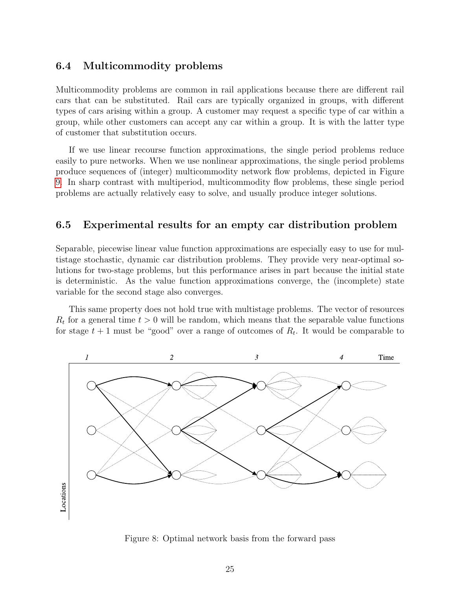#### 6.4 Multicommodity problems

Multicommodity problems are common in rail applications because there are different rail cars that can be substituted. Rail cars are typically organized in groups, with different types of cars arising within a group. A customer may request a specific type of car within a group, while other customers can accept any car within a group. It is with the latter type of customer that substitution occurs.

If we use linear recourse function approximations, the single period problems reduce easily to pure networks. When we use nonlinear approximations, the single period problems produce sequences of (integer) multicommodity network flow problems, depicted in Figure [9.](#page-26-0) In sharp contrast with multiperiod, multicommodity flow problems, these single period problems are actually relatively easy to solve, and usually produce integer solutions.

#### 6.5 Experimental results for an empty car distribution problem

Separable, piecewise linear value function approximations are especially easy to use for multistage stochastic, dynamic car distribution problems. They provide very near-optimal solutions for two-stage problems, but this performance arises in part because the initial state is deterministic. As the value function approximations converge, the (incomplete) state variable for the second stage also converges.

This same property does not hold true with multistage problems. The vector of resources  $R_t$  for a general time  $t > 0$  will be random, which means that the separable value functions for stage  $t+1$  must be "good" over a range of outcomes of  $R_t$ . It would be comparable to



<span id="page-25-0"></span>Figure 8: Optimal network basis from the forward pass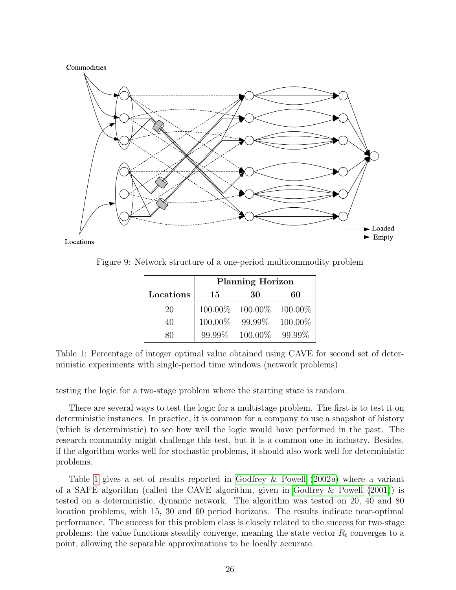<span id="page-26-2"></span>

Locations

Figure 9: Network structure of a one-period multicommodity problem

<span id="page-26-0"></span>

|           | <b>Planning Horizon</b> |                            |         |
|-----------|-------------------------|----------------------------|---------|
| Locations | 15                      | 30                         | 60      |
| 20        |                         | 100.00\% 100.00\% 100.00\% |         |
| 40        | 100.00%                 | $99.99\%$                  | 100.00% |
| 80        | 99.99%                  | 100.00%                    | 99.99%  |

<span id="page-26-1"></span>Table 1: Percentage of integer optimal value obtained using CAVE for second set of deterministic experiments with single-period time windows (network problems)

testing the logic for a two-stage problem where the starting state is random.

There are several ways to test the logic for a multistage problem. The first is to test it on deterministic instances. In practice, it is common for a company to use a snapshot of history (which is deterministic) to see how well the logic would have performed in the past. The research community might challenge this test, but it is a common one in industry. Besides, if the algorithm works well for stochastic problems, it should also work well for deterministic problems.

Table [1](#page-26-1) gives a set of results reported in [Godfrey & Powell](#page-33-0)  $(2002a)$  $(2002a)$  where a variant of a SAFE algorithm (called the CAVE algorithm, given in [Godfrey & Powell](#page-33-1) [\(2001\)](#page-33-1)) is tested on a deterministic, dynamic network. The algorithm was tested on 20, 40 and 80 location problems, with 15, 30 and 60 period horizons. The results indicate near-optimal performance. The success for this problem class is closely related to the success for two-stage problems: the value functions steadily converge, meaning the state vector  $R_t$  converges to a point, allowing the separable approximations to be locally accurate.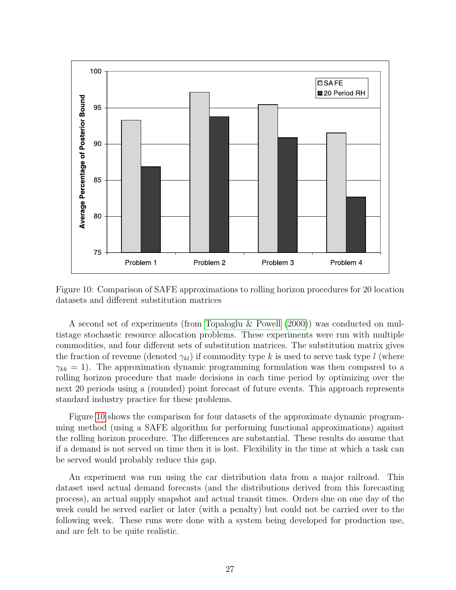<span id="page-27-1"></span>

<span id="page-27-0"></span>Figure 10: Comparison of SAFE approximations to rolling horizon procedures for 20 location datasets and different substitution matrices

A second set of experiments (from [Topaloglu & Powell](#page-34-0) [\(2000\)](#page-34-0)) was conducted on multistage stochastic resource allocation problems. These experiments were run with multiple commodities, and four different sets of substitution matrices. The substitution matrix gives the fraction of revenue (denoted  $\gamma_{kl}$ ) if commodity type k is used to serve task type l (where  $\gamma_{kk} = 1$ ). The approximation dynamic programming formulation was then compared to a rolling horizon procedure that made decisions in each time period by optimizing over the next 20 periods using a (rounded) point forecast of future events. This approach represents standard industry practice for these problems.

Figure [10](#page-27-0) shows the comparison for four datasets of the approximate dynamic programming method (using a SAFE algorithm for performing functional approximations) against the rolling horizon procedure. The differences are substantial. These results do assume that if a demand is not served on time then it is lost. Flexibility in the time at which a task can be served would probably reduce this gap.

An experiment was run using the car distribution data from a major railroad. This dataset used actual demand forecasts (and the distributions derived from this forecasting process), an actual supply snapshot and actual transit times. Orders due on one day of the week could be served earlier or later (with a penalty) but could not be carried over to the following week. These runs were done with a system being developed for production use, and are felt to be quite realistic.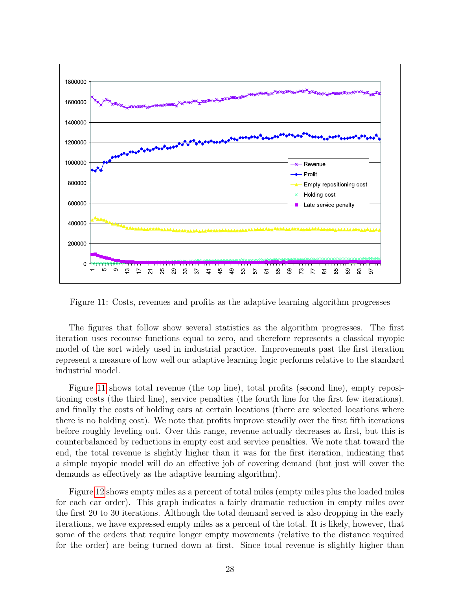

<span id="page-28-0"></span>Figure 11: Costs, revenues and profits as the adaptive learning algorithm progresses

The figures that follow show several statistics as the algorithm progresses. The first iteration uses recourse functions equal to zero, and therefore represents a classical myopic model of the sort widely used in industrial practice. Improvements past the first iteration represent a measure of how well our adaptive learning logic performs relative to the standard industrial model.

Figure [11](#page-28-0) shows total revenue (the top line), total profits (second line), empty repositioning costs (the third line), service penalties (the fourth line for the first few iterations), and finally the costs of holding cars at certain locations (there are selected locations where there is no holding cost). We note that profits improve steadily over the first fifth iterations before roughly leveling out. Over this range, revenue actually decreases at first, but this is counterbalanced by reductions in empty cost and service penalties. We note that toward the end, the total revenue is slightly higher than it was for the first iteration, indicating that a simple myopic model will do an effective job of covering demand (but just will cover the demands as effectively as the adaptive learning algorithm).

Figure [12](#page-29-0) shows empty miles as a percent of total miles (empty miles plus the loaded miles for each car order). This graph indicates a fairly dramatic reduction in empty miles over the first 20 to 30 iterations. Although the total demand served is also dropping in the early iterations, we have expressed empty miles as a percent of the total. It is likely, however, that some of the orders that require longer empty movements (relative to the distance required for the order) are being turned down at first. Since total revenue is slightly higher than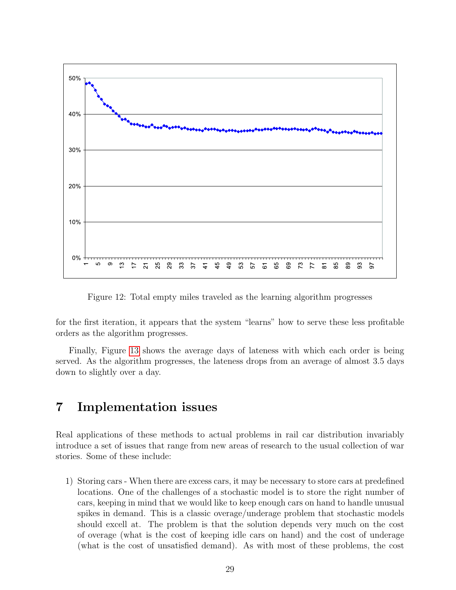

<span id="page-29-0"></span>Figure 12: Total empty miles traveled as the learning algorithm progresses

for the first iteration, it appears that the system "learns" how to serve these less profitable orders as the algorithm progresses.

Finally, Figure [13](#page-30-0) shows the average days of lateness with which each order is being served. As the algorithm progresses, the lateness drops from an average of almost 3.5 days down to slightly over a day.

### 7 Implementation issues

Real applications of these methods to actual problems in rail car distribution invariably introduce a set of issues that range from new areas of research to the usual collection of war stories. Some of these include:

1) Storing cars - When there are excess cars, it may be necessary to store cars at predefined locations. One of the challenges of a stochastic model is to store the right number of cars, keeping in mind that we would like to keep enough cars on hand to handle unusual spikes in demand. This is a classic overage/underage problem that stochastic models should excell at. The problem is that the solution depends very much on the cost of overage (what is the cost of keeping idle cars on hand) and the cost of underage (what is the cost of unsatisfied demand). As with most of these problems, the cost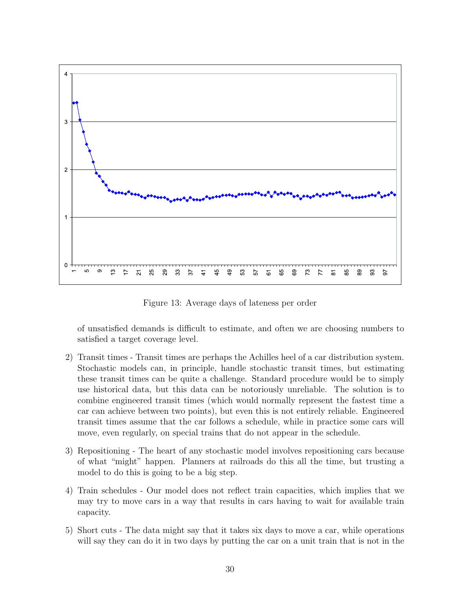

<span id="page-30-0"></span>Figure 13: Average days of lateness per order

of unsatisfied demands is difficult to estimate, and often we are choosing numbers to satisfied a target coverage level.

- 2) Transit times Transit times are perhaps the Achilles heel of a car distribution system. Stochastic models can, in principle, handle stochastic transit times, but estimating these transit times can be quite a challenge. Standard procedure would be to simply use historical data, but this data can be notoriously unreliable. The solution is to combine engineered transit times (which would normally represent the fastest time a car can achieve between two points), but even this is not entirely reliable. Engineered transit times assume that the car follows a schedule, while in practice some cars will move, even regularly, on special trains that do not appear in the schedule.
- 3) Repositioning The heart of any stochastic model involves repositioning cars because of what "might" happen. Planners at railroads do this all the time, but trusting a model to do this is going to be a big step.
- 4) Train schedules Our model does not reflect train capacities, which implies that we may try to move cars in a way that results in cars having to wait for available train capacity.
- 5) Short cuts The data might say that it takes six days to move a car, while operations will say they can do it in two days by putting the car on a unit train that is not in the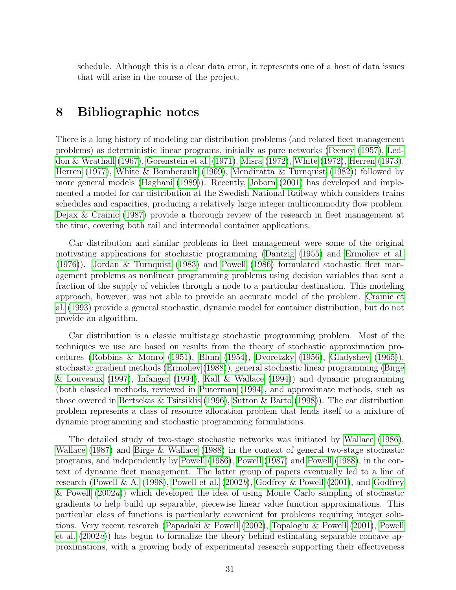<span id="page-31-0"></span>schedule. Although this is a clear data error, it represents one of a host of data issues that will arise in the course of the project.

### 8 Bibliographic notes

There is a long history of modeling car distribution problems (and related fleet management problems) as deterministic linear programs, initially as pure networks [\(Feeney](#page-32-0) [\(1957\)](#page-32-0), [Led](#page-33-2)[don & Wrathall](#page-33-2) [\(1967\)](#page-33-2), [Gorenstein et al.](#page-33-3) [\(1971\)](#page-33-3), [Misra](#page-33-4) [\(1972\)](#page-33-4), [White](#page-34-1) [\(1972\)](#page-34-1), [Herren](#page-33-5) [\(1973\)](#page-33-5), [Herren](#page-33-6) [\(1977\)](#page-33-6), [White & Bomberault](#page-34-2) [\(1969\)](#page-34-2), [Mendiratta & Turnquist](#page-33-7) [\(1982\)](#page-33-7)) followed by more general models [\(Haghani](#page-33-8) [\(1989\)](#page-33-8)). Recently, [Joborn](#page-33-9) [\(2001\)](#page-33-9) has developed and implemented a model for car distribution at the Swedish National Railway which considers trains schedules and capacities, producing a relatively large integer multicommodity flow problem. [Dejax & Crainic](#page-32-1) [\(1987\)](#page-32-1) provide a thorough review of the research in fleet management at the time, covering both rail and intermodal container applications.

Car distribution and similar problems in fleet management were some of the original motivating applications for stochastic programming [\(Dantzig](#page-32-2) [\(1955\)](#page-32-2) and [Ermoliev et al.](#page-32-3) [\(1976\)](#page-32-3)). [Jordan & Turnquist](#page-33-10) [\(1983\)](#page-33-10) and [Powell](#page-33-11) [\(1986\)](#page-33-11) formulated stochastic fleet management problems as nonlinear programming problems using decision variables that sent a fraction of the supply of vehicles through a node to a particular destination. This modeling approach, however, was not able to provide an accurate model of the problem. [Crainic et](#page-32-4) [al.](#page-32-4) [\(1993\)](#page-32-4) provide a general stochastic, dynamic model for container distribution, but do not provide an algorithm.

Car distribution is a classic multistage stochastic programming problem. Most of the techniques we use are based on results from the theory of stochastic approximation procedures [\(Robbins & Monro](#page-34-3) [\(1951\)](#page-34-3), [Blum](#page-32-5) [\(1954\)](#page-32-5), [Dvoretzky](#page-32-6) [\(1956\)](#page-32-6), [Gladyshev](#page-32-7) [\(1965\)](#page-32-7)), stochastic gradient methods [\(Ermoliev](#page-32-8) [\(1988\)](#page-32-8)), general stochastic linear programming [\(Birge](#page-32-9) [& Louveaux](#page-32-9) [\(1997\)](#page-32-9), [Infanger](#page-33-12) [\(1994\)](#page-33-12), [Kall & Wallace](#page-33-13) [\(1994\)](#page-33-13)) and dynamic programming (both classical methods, reviewed in [Puterman](#page-34-4) [\(1994\)](#page-34-4), and approximate methods, such as those covered in [Bertsekas & Tsitsiklis](#page-32-10) [\(1996\)](#page-32-10), [Sutton & Barto](#page-34-5) [\(1998\)](#page-34-5)). The car distribution problem represents a class of resource allocation problem that lends itself to a mixture of dynamic programming and stochastic programming formulations.

The detailed study of two-stage stochastic networks was initiated by [Wallace](#page-34-6) [\(1986\)](#page-34-6), [Wallace](#page-34-7) [\(1987\)](#page-34-7) and [Birge & Wallace](#page-32-11) [\(1988\)](#page-32-11) in the context of general two-stage stochastic programs, and independently by [Powell](#page-33-11) [\(1986\)](#page-33-11), [Powell](#page-33-14) [\(1987\)](#page-33-14) and [Powell](#page-34-8) [\(1988\)](#page-34-8), in the context of dynamic fleet management. The latter group of papers eventually led to a line of research [\(Powell & A.](#page-34-9) [\(1998\)](#page-34-9), [Powell et al.](#page-34-10) [\(2002](#page-34-10)b), [Godfrey & Powell](#page-33-1) [\(2001\)](#page-33-1), and [Godfrey](#page-33-0) [& Powell](#page-33-0) [\(2002](#page-33-0)a)) which developed the idea of using Monte Carlo sampling of stochastic gradients to help build up separable, piecewise linear value function approximations. This particular class of functions is particularly convenient for problems requiring integer solutions. Very recent research [\(Papadaki & Powell](#page-33-15) [\(2002\)](#page-33-15), [Topaloglu & Powell](#page-34-11) [\(2001\)](#page-34-11), [Powell](#page-34-12) [et al.](#page-34-12) [\(2002](#page-34-12)a)) has begun to formalize the theory behind estimating separable concave approximations, with a growing body of experimental research supporting their effectiveness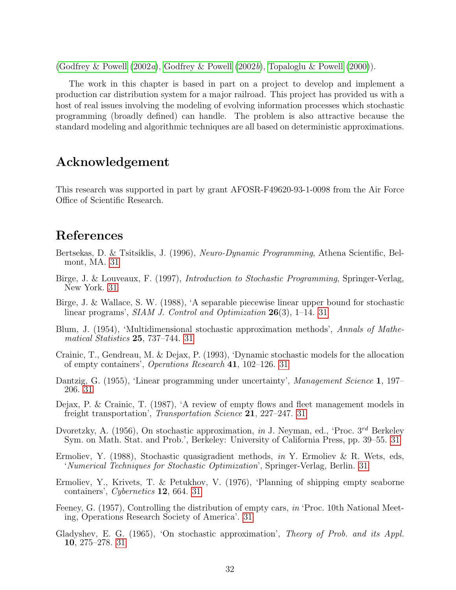<span id="page-32-12"></span>[\(Godfrey & Powell](#page-33-0)  $(2002a)$  $(2002a)$ , [Godfrey & Powell](#page-33-16)  $(2002b)$ , [Topaloglu & Powell](#page-34-0)  $(2000)$ ).

The work in this chapter is based in part on a project to develop and implement a production car distribution system for a major railroad. This project has provided us with a host of real issues involving the modeling of evolving information processes which stochastic programming (broadly defined) can handle. The problem is also attractive because the standard modeling and algorithmic techniques are all based on deterministic approximations.

### Acknowledgement

This research was supported in part by grant AFOSR-F49620-93-1-0098 from the Air Force Office of Scientific Research.

# References

- <span id="page-32-10"></span>Bertsekas, D. & Tsitsiklis, J. (1996), Neuro-Dynamic Programming, Athena Scientific, Belmont, MA. [31](#page-31-0)
- <span id="page-32-9"></span>Birge, J. & Louveaux, F. (1997), Introduction to Stochastic Programming, Springer-Verlag, New York. [31](#page-31-0)
- <span id="page-32-11"></span>Birge, J. & Wallace, S. W. (1988), 'A separable piecewise linear upper bound for stochastic linear programs', SIAM J. Control and Optimization 26(3), 1–14. [31](#page-31-0)
- <span id="page-32-5"></span>Blum, J. (1954), 'Multidimensional stochastic approximation methods', Annals of Mathematical Statistics 25, 737–744. [31](#page-31-0)
- <span id="page-32-4"></span>Crainic, T., Gendreau, M. & Dejax, P. (1993), 'Dynamic stochastic models for the allocation of empty containers', Operations Research 41, 102–126. [31](#page-31-0)
- <span id="page-32-2"></span>Dantzig, G. (1955), 'Linear programming under uncertainty', Management Science 1, 197– 206. [31](#page-31-0)
- <span id="page-32-1"></span>Dejax, P. & Crainic, T. (1987), 'A review of empty flows and fleet management models in freight transportation', Transportation Science 21, 227–247. [31](#page-31-0)
- <span id="page-32-6"></span>Dvoretzky, A. (1956), On stochastic approximation, in J. Neyman, ed., 'Proc.  $3^{rd}$  Berkeley Sym. on Math. Stat. and Prob.', Berkeley: University of California Press, pp. 39–55. [31](#page-31-0)
- <span id="page-32-8"></span>Ermoliev, Y. (1988), Stochastic quasigradient methods, in Y. Ermoliev & R. Wets, eds, 'Numerical Techniques for Stochastic Optimization', Springer-Verlag, Berlin. [31](#page-31-0)
- <span id="page-32-3"></span>Ermoliev, Y., Krivets, T. & Petukhov, V. (1976), 'Planning of shipping empty seaborne containers', Cybernetics 12, 664. [31](#page-31-0)
- <span id="page-32-0"></span>Feeney, G. (1957), Controlling the distribution of empty cars, in 'Proc. 10th National Meeting, Operations Research Society of America'. [31](#page-31-0)
- <span id="page-32-7"></span>Gladyshev, E. G. (1965), 'On stochastic approximation', Theory of Prob. and its Appl. 10, 275–278. [31](#page-31-0)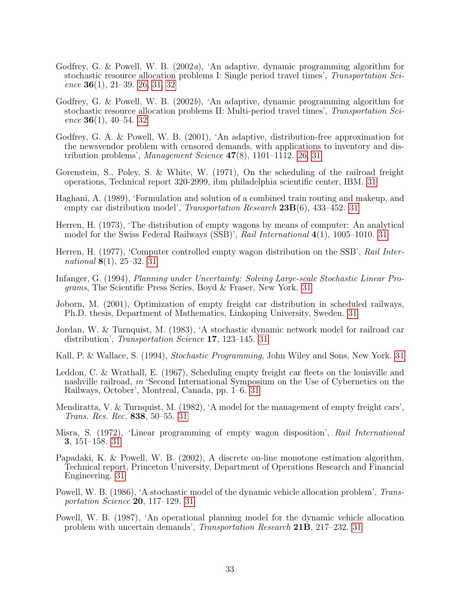- <span id="page-33-0"></span>Godfrey, G. & Powell, W. B. (2002a), 'An adaptive, dynamic programming algorithm for stochastic resource allocation problems I: Single period travel times', Transportation Science  $36(1)$ ,  $21-39$ .  $26$ ,  $31$ ,  $32$
- <span id="page-33-16"></span>Godfrey, G. & Powell, W. B. (2002b), 'An adaptive, dynamic programming algorithm for stochastic resource allocation problems II: Multi-period travel times', Transportation Science  $36(1)$ , 40–54. [32](#page-32-12)
- <span id="page-33-1"></span>Godfrey, G. A. & Powell, W. B. (2001), 'An adaptive, distribution-free approximation for the newsvendor problem with censored demands, with applications to inventory and distribution problems', Management Science  $47(8)$ , 1101–1112. [26,](#page-26-2) [31](#page-31-0)
- <span id="page-33-3"></span>Gorenstein, S., Poley, S. & White, W. (1971), On the scheduling of the railroad freight operations, Technical report 320-2999, ibm philadelphia scientific center, IBM. [31](#page-31-0)
- <span id="page-33-8"></span>Haghani, A. (1989), 'Formulation and solution of a combined train routing and makeup, and empty car distribution model', *Transportation Research* **23B**(6), 433–452. [31](#page-31-0)
- <span id="page-33-5"></span>Herren, H. (1973), 'The distribution of empty wagons by means of computer: An analytical model for the Swiss Federal Railways (SSB)', Rail International 4(1), 1005–1010. [31](#page-31-0)
- <span id="page-33-6"></span>Herren, H. (1977), 'Computer controlled empty wagon distribution on the SSB', Rail International  $8(1), 25-32. 31$  $8(1), 25-32. 31$
- <span id="page-33-12"></span>Infanger, G. (1994), Planning under Uncertainty: Solving Large-scale Stochastic Linear Programs, The Scientific Press Series, Boyd & Fraser, New York. [31](#page-31-0)
- <span id="page-33-9"></span>Joborn, M. (2001), Optimization of empty freight car distribution in scheduled railways, Ph.D. thesis, Department of Mathematics, Linkoping University, Sweden. [31](#page-31-0)
- <span id="page-33-10"></span>Jordan, W. & Turnquist, M. (1983), 'A stochastic dynamic network model for railroad car distribution', *Transportation Science* 17, 123–145. [31](#page-31-0)
- <span id="page-33-13"></span>Kall, P. & Wallace, S. (1994), *Stochastic Programming*, John Wiley and Sons, New York. [31](#page-31-0)
- <span id="page-33-2"></span>Leddon, C. & Wrathall, E. (1967), Scheduling empty freight car fleets on the louisville and nashville railroad, in 'Second International Symposium on the Use of Cybernetics on the Railways, October', Montreal, Canada, pp. 1–6. [31](#page-31-0)
- <span id="page-33-7"></span>Mendiratta, V. & Turnquist, M. (1982), 'A model for the management of empty freight cars', Trans. Res. Rec. 838, 50–55. [31](#page-31-0)
- <span id="page-33-4"></span>Misra, S. (1972), 'Linear programming of empty wagon disposition', Rail International 3, 151–158. [31](#page-31-0)
- <span id="page-33-15"></span>Papadaki, K. & Powell, W. B. (2002), A discrete on-line monotone estimation algorithm, Technical report, Princeton University, Department of Operations Research and Financial Engineering. [31](#page-31-0)
- <span id="page-33-11"></span>Powell, W. B. (1986), 'A stochastic model of the dynamic vehicle allocation problem', Transportation Science 20, 117–129. [31](#page-31-0)
- <span id="page-33-14"></span>Powell, W. B. (1987), 'An operational planning model for the dynamic vehicle allocation problem with uncertain demands', Transportation Research 21B, 217–232. [31](#page-31-0)